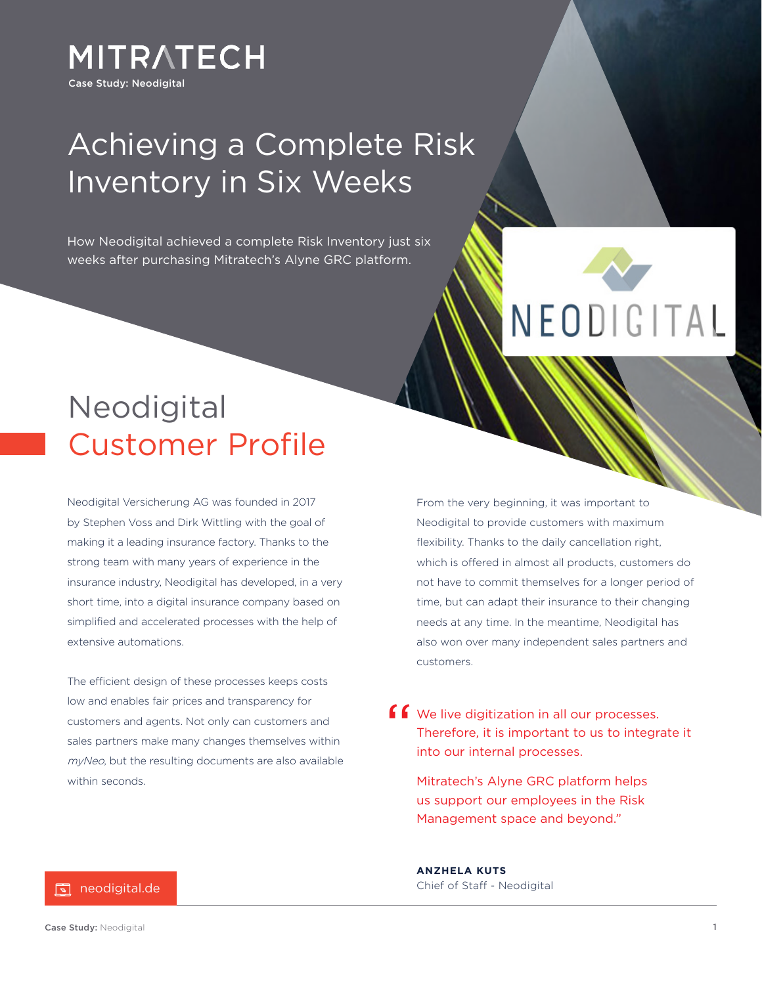

### Achieving a Complete Risk Inventory in Six Weeks

How Neodigital achieved a complete Risk Inventory just six weeks after purchasing Mitratech's Alyne GRC platform.



### Neodigital Customer Profile

Neodigital Versicherung AG was founded in 2017 by Stephen Voss and Dirk Wittling with the goal of making it a leading insurance factory. Thanks to the strong team with many years of experience in the insurance industry, Neodigital has developed, in a very short time, into a digital insurance company based on simplified and accelerated processes with the help of extensive automations.

The efficient design of these processes keeps costs low and enables fair prices and transparency for customers and agents. Not only can customers and sales partners make many changes themselves within myNeo, but the resulting documents are also available within seconds.

From the very beginning, it was important to Neodigital to provide customers with maximum flexibility. Thanks to the daily cancellation right, which is offered in almost all products, customers do not have to commit themselves for a longer period of time, but can adapt their insurance to their changing needs at any time. In the meantime, Neodigital has also won over many independent sales partners and customers.

We live digitization in all our processes. Therefore, it is important to us to integrate it into our internal processes. "

Mitratech's Alyne GRC platform helps us support our employees in the Risk Management space and beyond."

**ANZHELA KUTS** Chief of Staff - Neodigital

#### <u>ब</u> neodigital.de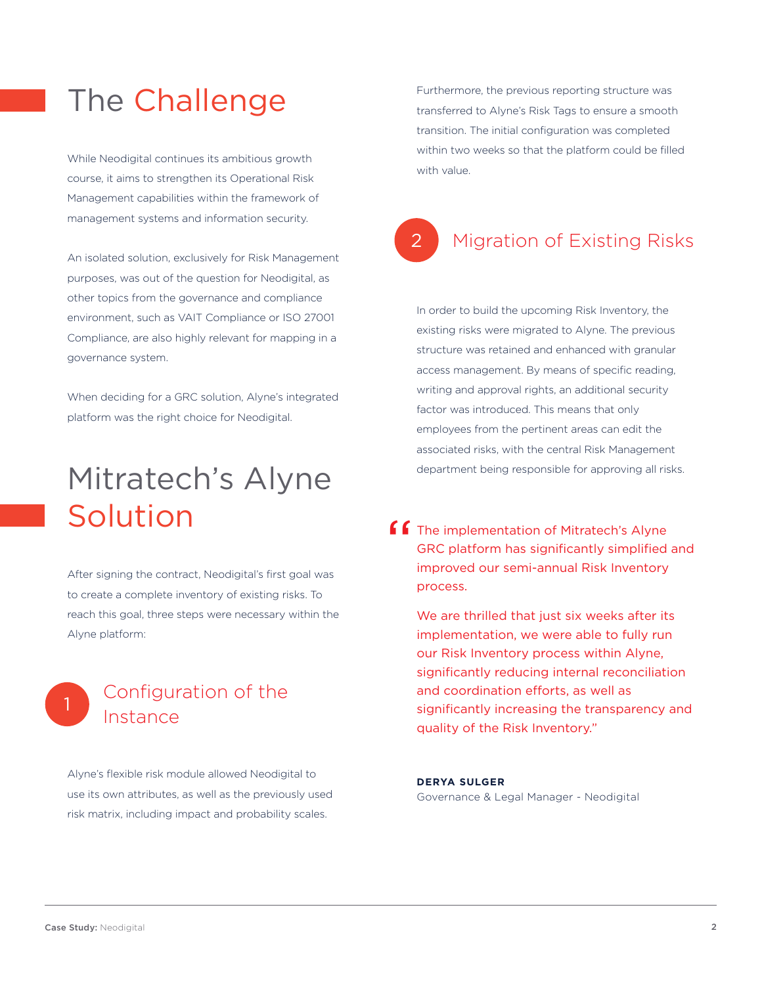### The Challenge

While Neodigital continues its ambitious growth course, it aims to strengthen its Operational Risk Management capabilities within the framework of management systems and information security.

An isolated solution, exclusively for Risk Management purposes, was out of the question for Neodigital, as other topics from the governance and compliance environment, such as VAIT Compliance or ISO 27001 Compliance, are also highly relevant for mapping in a governance system.

When deciding for a GRC solution, Alyne's integrated platform was the right choice for Neodigital.

# Mitratech's Alyne Solution

After signing the contract, Neodigital's first goal was to create a complete inventory of existing risks. To reach this goal, three steps were necessary within the Alyne platform:

#### Configuration of the Instance

Alyne's flexible risk module allowed Neodigital to use its own attributes, as well as the previously used risk matrix, including impact and probability scales.

Furthermore, the previous reporting structure was transferred to Alyne's Risk Tags to ensure a smooth transition. The initial configuration was completed within two weeks so that the platform could be filled with value.

#### 2 Migration of Existing Risks

In order to build the upcoming Risk Inventory, the existing risks were migrated to Alyne. The previous structure was retained and enhanced with granular access management. By means of specific reading, writing and approval rights, an additional security factor was introduced. This means that only employees from the pertinent areas can edit the associated risks, with the central Risk Management department being responsible for approving all risks.

The implementation of Mitratech's Alyne GRC platform has significantly simplified and improved our semi-annual Risk Inventory process. "

We are thrilled that just six weeks after its implementation, we were able to fully run our Risk Inventory process within Alyne, significantly reducing internal reconciliation and coordination efforts, as well as significantly increasing the transparency and quality of the Risk Inventory."

**DERYA SULGER** Governance & Legal Manager - Neodigital